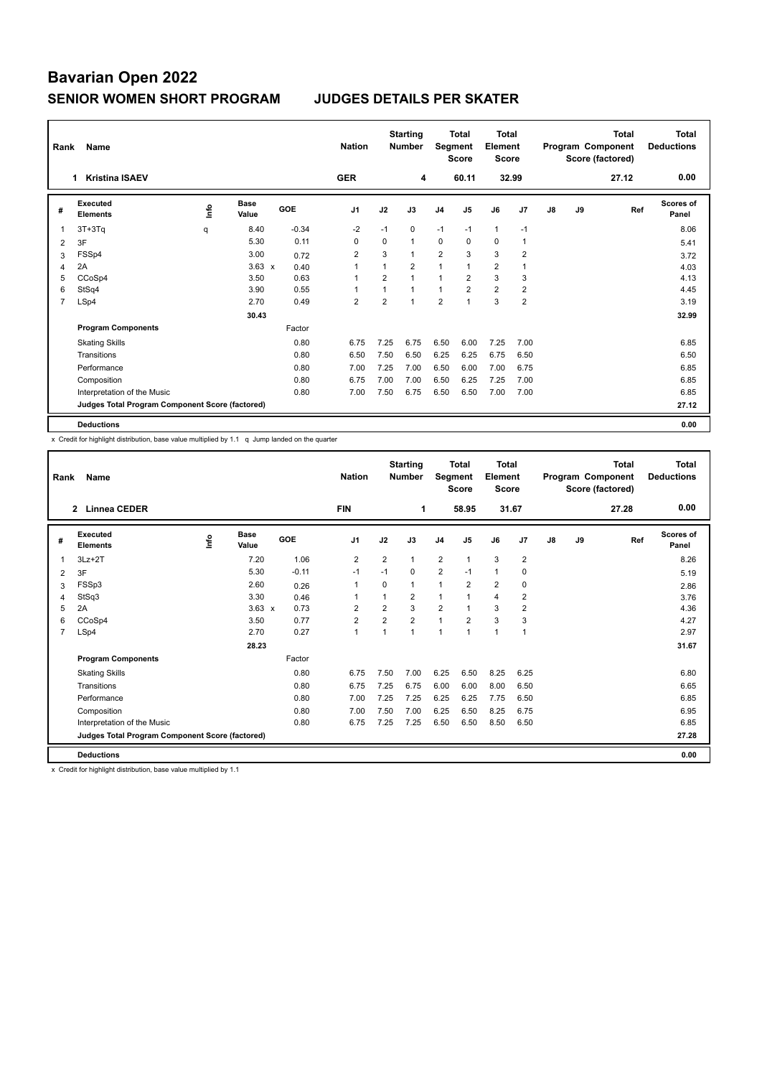| Rank | Name                                            | <b>Nation</b> |                      | <b>Starting</b><br><b>Number</b> | Segment        | <b>Total</b><br><b>Score</b> | <b>Total</b><br>Element<br><b>Score</b> |                |                |                | <b>Total</b><br>Program Component<br>Score (factored) | <b>Total</b><br><b>Deductions</b> |    |       |                    |
|------|-------------------------------------------------|---------------|----------------------|----------------------------------|----------------|------------------------------|-----------------------------------------|----------------|----------------|----------------|-------------------------------------------------------|-----------------------------------|----|-------|--------------------|
|      | <b>Kristina ISAEV</b><br>1.                     |               |                      |                                  | <b>GER</b>     |                              | 4                                       |                | 60.11          |                | 32.99                                                 |                                   |    | 27.12 | 0.00               |
| #    | Executed<br><b>Elements</b>                     | ۴             | <b>Base</b><br>Value | GOE                              | J <sub>1</sub> | J2                           | J3                                      | J <sub>4</sub> | J <sub>5</sub> | J6             | J7                                                    | $\mathsf{J}8$                     | J9 | Ref   | Scores of<br>Panel |
|      | $3T+3Tq$                                        | q             | 8.40                 | $-0.34$                          | $-2$           | $-1$                         | $\mathbf 0$                             | $-1$           | $-1$           | $\mathbf{1}$   | $-1$                                                  |                                   |    |       | 8.06               |
| 2    | 3F                                              |               | 5.30                 | 0.11                             | 0              | 0                            | $\mathbf{1}$                            | 0              | 0              | 0              | 1                                                     |                                   |    |       | 5.41               |
| 3    | FSSp4                                           |               | 3.00                 | 0.72                             | $\overline{2}$ | 3                            | $\mathbf{1}$                            | $\overline{2}$ | 3              | 3              | $\overline{2}$                                        |                                   |    |       | 3.72               |
| 4    | 2A                                              |               | $3.63 \times$        | 0.40                             | 1              | 1                            | $\overline{2}$                          | 1              |                | $\overline{2}$ | 1                                                     |                                   |    |       | 4.03               |
| 5    | CCoSp4                                          |               | 3.50                 | 0.63                             | 1              | $\overline{2}$               | $\overline{1}$                          | $\mathbf{1}$   | $\overline{2}$ | 3              | 3                                                     |                                   |    |       | 4.13               |
| 6    | StSq4                                           |               | 3.90                 | 0.55                             | 1              | 1                            | $\mathbf{1}$                            | $\mathbf{1}$   | $\overline{2}$ | $\overline{2}$ | $\overline{2}$                                        |                                   |    |       | 4.45               |
| 7    | LSp4                                            |               | 2.70                 | 0.49                             | 2              | $\overline{2}$               | $\mathbf{1}$                            | $\overline{2}$ | 1              | 3              | $\overline{2}$                                        |                                   |    |       | 3.19               |
|      |                                                 |               | 30.43                |                                  |                |                              |                                         |                |                |                |                                                       |                                   |    |       | 32.99              |
|      | <b>Program Components</b>                       |               |                      | Factor                           |                |                              |                                         |                |                |                |                                                       |                                   |    |       |                    |
|      | <b>Skating Skills</b>                           |               |                      | 0.80                             | 6.75           | 7.25                         | 6.75                                    | 6.50           | 6.00           | 7.25           | 7.00                                                  |                                   |    |       | 6.85               |
|      | Transitions                                     |               |                      | 0.80                             | 6.50           | 7.50                         | 6.50                                    | 6.25           | 6.25           | 6.75           | 6.50                                                  |                                   |    |       | 6.50               |
|      | Performance                                     |               |                      | 0.80                             | 7.00           | 7.25                         | 7.00                                    | 6.50           | 6.00           | 7.00           | 6.75                                                  |                                   |    |       | 6.85               |
|      | Composition                                     |               |                      | 0.80                             | 6.75           | 7.00                         | 7.00                                    | 6.50           | 6.25           | 7.25           | 7.00                                                  |                                   |    |       | 6.85               |
|      | Interpretation of the Music                     |               |                      | 0.80                             | 7.00           | 7.50                         | 6.75                                    | 6.50           | 6.50           | 7.00           | 7.00                                                  |                                   |    |       | 6.85               |
|      | Judges Total Program Component Score (factored) |               |                      |                                  |                |                              |                                         |                |                |                |                                                       |                                   |    |       | 27.12              |
|      | <b>Deductions</b>                               |               |                      |                                  |                |                              |                                         |                |                |                |                                                       |                                   |    |       | 0.00               |

x Credit for highlight distribution, base value multiplied by 1.1 q Jump landed on the quarter

| Rank           | Name                                            |      |                      |         | <b>Nation</b>  |                | <b>Starting</b><br><b>Number</b> | Segment        | <b>Total</b><br><b>Score</b> | Total<br>Element<br><b>Score</b> |                |    |    | <b>Total</b><br>Program Component<br>Score (factored) | <b>Total</b><br><b>Deductions</b> |
|----------------|-------------------------------------------------|------|----------------------|---------|----------------|----------------|----------------------------------|----------------|------------------------------|----------------------------------|----------------|----|----|-------------------------------------------------------|-----------------------------------|
|                | <b>Linnea CEDER</b><br>$\mathbf{2}$             |      |                      |         | <b>FIN</b>     |                | 1                                |                | 58.95                        | 31.67                            |                |    |    | 27.28                                                 | 0.00                              |
| #              | Executed<br><b>Elements</b>                     | lnfo | <b>Base</b><br>Value | GOE     | J <sub>1</sub> | J2             | J3                               | J <sub>4</sub> | J <sub>5</sub>               | J6                               | J7             | J8 | J9 | Ref                                                   | <b>Scores of</b><br>Panel         |
|                | $3Lz + 2T$                                      |      | 7.20                 | 1.06    | 2              | $\overline{2}$ | 1                                | 2              | 1                            | 3                                | $\overline{2}$ |    |    |                                                       | 8.26                              |
| 2              | 3F                                              |      | 5.30                 | $-0.11$ | $-1$           | $-1$           | $\Omega$                         | 2              | $-1$                         | $\mathbf{1}$                     | 0              |    |    |                                                       | 5.19                              |
| 3              | FSSp3                                           |      | 2.60                 | 0.26    | 1              | 0              | 1                                | $\mathbf{1}$   | 2                            | $\overline{2}$                   | 0              |    |    |                                                       | 2.86                              |
| 4              | StSq3                                           |      | 3.30                 | 0.46    | 1              |                | 2                                | $\overline{1}$ |                              | $\overline{4}$                   | $\overline{2}$ |    |    |                                                       | 3.76                              |
| 5              | 2A                                              |      | $3.63 \times$        | 0.73    | $\overline{2}$ | $\overline{2}$ | 3                                | $\overline{2}$ |                              | 3                                | $\overline{2}$ |    |    |                                                       | 4.36                              |
| 6              | CCoSp4                                          |      | 3.50                 | 0.77    | $\overline{2}$ | $\overline{2}$ | $\overline{2}$                   | $\mathbf{1}$   | $\overline{2}$               | 3                                | 3              |    |    |                                                       | 4.27                              |
| $\overline{7}$ | LSp4                                            |      | 2.70                 | 0.27    | $\mathbf{1}$   | 1              | 1                                | $\overline{1}$ | 1                            | $\overline{1}$                   | $\overline{1}$ |    |    |                                                       | 2.97                              |
|                |                                                 |      | 28.23                |         |                |                |                                  |                |                              |                                  |                |    |    |                                                       | 31.67                             |
|                | <b>Program Components</b>                       |      |                      | Factor  |                |                |                                  |                |                              |                                  |                |    |    |                                                       |                                   |
|                | <b>Skating Skills</b>                           |      |                      | 0.80    | 6.75           | 7.50           | 7.00                             | 6.25           | 6.50                         | 8.25                             | 6.25           |    |    |                                                       | 6.80                              |
|                | Transitions                                     |      |                      | 0.80    | 6.75           | 7.25           | 6.75                             | 6.00           | 6.00                         | 8.00                             | 6.50           |    |    |                                                       | 6.65                              |
|                | Performance                                     |      |                      | 0.80    | 7.00           | 7.25           | 7.25                             | 6.25           | 6.25                         | 7.75                             | 6.50           |    |    |                                                       | 6.85                              |
|                | Composition                                     |      |                      | 0.80    | 7.00           | 7.50           | 7.00                             | 6.25           | 6.50                         | 8.25                             | 6.75           |    |    |                                                       | 6.95                              |
|                | Interpretation of the Music                     |      |                      | 0.80    | 6.75           | 7.25           | 7.25                             | 6.50           | 6.50                         | 8.50                             | 6.50           |    |    |                                                       | 6.85                              |
|                | Judges Total Program Component Score (factored) |      |                      |         |                |                |                                  |                |                              |                                  |                |    |    |                                                       | 27.28                             |
|                | <b>Deductions</b>                               |      |                      |         |                |                |                                  |                |                              |                                  |                |    |    |                                                       | 0.00                              |

x Credit for highlight distribution, base value multiplied by 1.1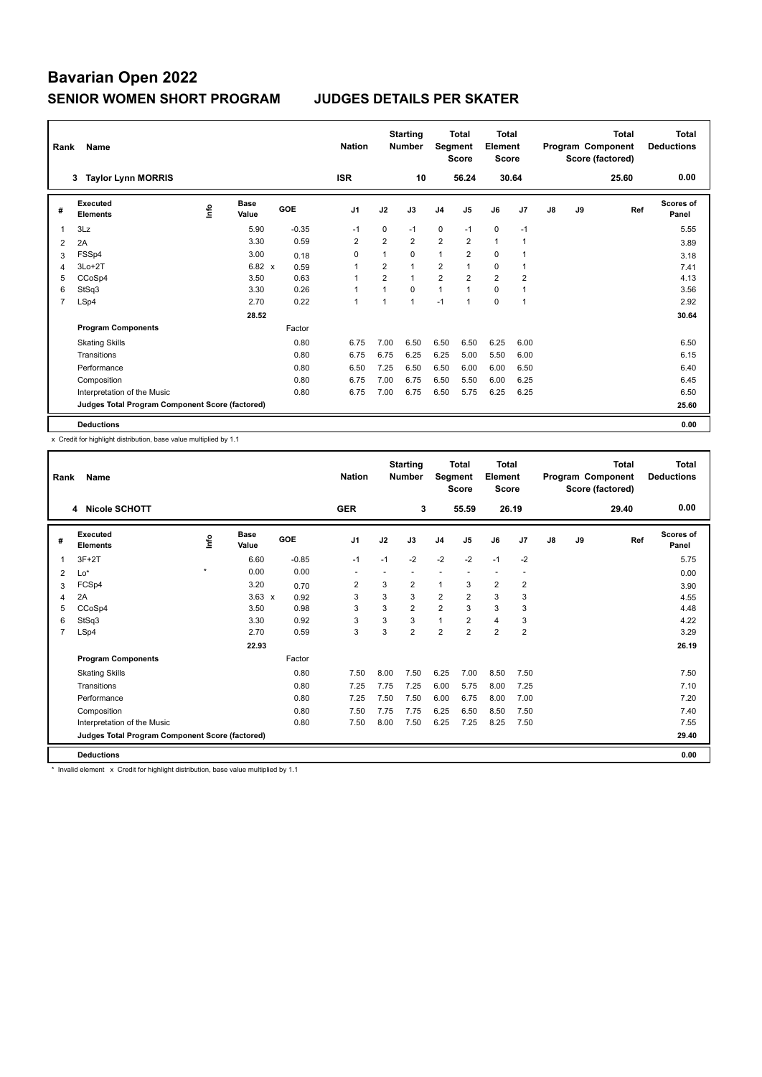| Rank | Name                                            |    |                      |            | <b>Nation</b>  |                | <b>Starting</b><br><b>Number</b> | Segment        | <b>Total</b><br><b>Score</b> | <b>Total</b><br>Element<br><b>Score</b> |                |    |    | <b>Total</b><br>Program Component<br>Score (factored) | <b>Total</b><br><b>Deductions</b> |
|------|-------------------------------------------------|----|----------------------|------------|----------------|----------------|----------------------------------|----------------|------------------------------|-----------------------------------------|----------------|----|----|-------------------------------------------------------|-----------------------------------|
|      | <b>Taylor Lynn MORRIS</b><br>3                  |    |                      |            | <b>ISR</b>     |                | 10                               |                | 56.24                        |                                         | 30.64          |    |    | 25.60                                                 | 0.00                              |
| #    | Executed<br><b>Elements</b>                     | ۴ů | <b>Base</b><br>Value | <b>GOE</b> | J <sub>1</sub> | J2             | J3                               | J <sub>4</sub> | J <sub>5</sub>               | J6                                      | J <sub>7</sub> | J8 | J9 | Ref                                                   | Scores of<br>Panel                |
| 1    | 3Lz                                             |    | 5.90                 | $-0.35$    | $-1$           | 0              | $-1$                             | $\mathbf 0$    | $-1$                         | $\mathbf 0$                             | $-1$           |    |    |                                                       | 5.55                              |
| 2    | 2A                                              |    | 3.30                 | 0.59       | 2              | $\overline{2}$ | 2                                | $\overline{2}$ | 2                            | $\mathbf{1}$                            | -1             |    |    |                                                       | 3.89                              |
| 3    | FSSp4                                           |    | 3.00                 | 0.18       | $\mathbf 0$    | $\mathbf{1}$   | $\Omega$                         | $\mathbf{1}$   | $\overline{2}$               | $\Omega$                                |                |    |    |                                                       | 3.18                              |
| 4    | $3Lo+2T$                                        |    | $6.82 \times$        | 0.59       | 1              | $\overline{2}$ | $\overline{1}$                   | 2              |                              | 0                                       | $\overline{1}$ |    |    |                                                       | 7.41                              |
| 5    | CCoSp4                                          |    | 3.50                 | 0.63       | -1             | $\overline{2}$ | $\mathbf{1}$                     | $\overline{2}$ | $\overline{2}$               | $\overline{2}$                          | $\overline{2}$ |    |    |                                                       | 4.13                              |
| 6    | StSq3                                           |    | 3.30                 | 0.26       | 1              | $\overline{1}$ | $\Omega$                         | $\mathbf{1}$   | $\overline{1}$               | $\mathbf 0$                             | 1              |    |    |                                                       | 3.56                              |
| 7    | LSp4                                            |    | 2.70                 | 0.22       | $\overline{1}$ | 1              | $\overline{1}$                   | $-1$           | $\overline{1}$               | $\mathbf 0$                             | $\overline{1}$ |    |    |                                                       | 2.92                              |
|      |                                                 |    | 28.52                |            |                |                |                                  |                |                              |                                         |                |    |    |                                                       | 30.64                             |
|      | <b>Program Components</b>                       |    |                      | Factor     |                |                |                                  |                |                              |                                         |                |    |    |                                                       |                                   |
|      | <b>Skating Skills</b>                           |    |                      | 0.80       | 6.75           | 7.00           | 6.50                             | 6.50           | 6.50                         | 6.25                                    | 6.00           |    |    |                                                       | 6.50                              |
|      | Transitions                                     |    |                      | 0.80       | 6.75           | 6.75           | 6.25                             | 6.25           | 5.00                         | 5.50                                    | 6.00           |    |    |                                                       | 6.15                              |
|      | Performance                                     |    |                      | 0.80       | 6.50           | 7.25           | 6.50                             | 6.50           | 6.00                         | 6.00                                    | 6.50           |    |    |                                                       | 6.40                              |
|      | Composition                                     |    |                      | 0.80       | 6.75           | 7.00           | 6.75                             | 6.50           | 5.50                         | 6.00                                    | 6.25           |    |    |                                                       | 6.45                              |
|      | Interpretation of the Music                     |    |                      | 0.80       | 6.75           | 7.00           | 6.75                             | 6.50           | 5.75                         | 6.25                                    | 6.25           |    |    |                                                       | 6.50                              |
|      | Judges Total Program Component Score (factored) |    |                      |            |                |                |                                  |                |                              |                                         |                |    |    |                                                       | 25.60                             |
|      | <b>Deductions</b>                               |    |                      |            |                |                |                                  |                |                              |                                         |                |    |    |                                                       | 0.00                              |

x Credit for highlight distribution, base value multiplied by 1.1

| Rank           | Name                                            |         | <b>Nation</b>        |         | <b>Starting</b><br><b>Number</b> | Segment | <b>Total</b><br><b>Score</b> | <b>Total</b><br>Element<br><b>Score</b> |                |                          |                | <b>Total</b><br>Program Component<br>Score (factored) | <b>Total</b><br><b>Deductions</b> |       |                           |
|----------------|-------------------------------------------------|---------|----------------------|---------|----------------------------------|---------|------------------------------|-----------------------------------------|----------------|--------------------------|----------------|-------------------------------------------------------|-----------------------------------|-------|---------------------------|
|                | 4 Nicole SCHOTT                                 |         |                      |         | <b>GER</b>                       |         | 3                            |                                         | 55.59          | 26.19                    |                |                                                       |                                   | 29.40 | 0.00                      |
| #              | Executed<br><b>Elements</b>                     | ١nf٥    | <b>Base</b><br>Value | GOE     | J <sub>1</sub>                   | J2      | J3                           | J <sub>4</sub>                          | J5             | J6                       | J7             | J8                                                    | J9                                | Ref   | <b>Scores of</b><br>Panel |
|                | $3F+2T$                                         |         | 6.60                 | $-0.85$ | $-1$                             | $-1$    | $-2$                         | $-2$                                    | $-2$           | $-1$                     | $-2$           |                                                       |                                   |       | 5.75                      |
| 2              | Lo*                                             | $\star$ | 0.00                 | 0.00    |                                  |         |                              |                                         |                | $\overline{\phantom{a}}$ |                |                                                       |                                   |       | 0.00                      |
| 3              | FCSp4                                           |         | 3.20                 | 0.70    | 2                                | 3       | 2                            | $\mathbf{1}$                            | 3              | $\overline{2}$           | 2              |                                                       |                                   |       | 3.90                      |
| 4              | 2A                                              |         | $3.63 \times$        | 0.92    | 3                                | 3       | 3                            | $\overline{2}$                          | $\overline{2}$ | 3                        | 3              |                                                       |                                   |       | 4.55                      |
| 5              | CCoSp4                                          |         | 3.50                 | 0.98    | 3                                | 3       | $\overline{2}$               | 2                                       | 3              | 3                        | 3              |                                                       |                                   |       | 4.48                      |
| 6              | StSq3                                           |         | 3.30                 | 0.92    | 3                                | 3       | 3                            | $\mathbf{1}$                            | $\overline{2}$ | $\overline{4}$           | 3              |                                                       |                                   |       | 4.22                      |
| $\overline{7}$ | LSp4                                            |         | 2.70                 | 0.59    | 3                                | 3       | $\overline{2}$               | $\overline{2}$                          | $\overline{2}$ | $\overline{2}$           | $\overline{2}$ |                                                       |                                   |       | 3.29                      |
|                |                                                 |         | 22.93                |         |                                  |         |                              |                                         |                |                          |                |                                                       |                                   |       | 26.19                     |
|                | <b>Program Components</b>                       |         |                      | Factor  |                                  |         |                              |                                         |                |                          |                |                                                       |                                   |       |                           |
|                | <b>Skating Skills</b>                           |         |                      | 0.80    | 7.50                             | 8.00    | 7.50                         | 6.25                                    | 7.00           | 8.50                     | 7.50           |                                                       |                                   |       | 7.50                      |
|                | Transitions                                     |         |                      | 0.80    | 7.25                             | 7.75    | 7.25                         | 6.00                                    | 5.75           | 8.00                     | 7.25           |                                                       |                                   |       | 7.10                      |
|                | Performance                                     |         |                      | 0.80    | 7.25                             | 7.50    | 7.50                         | 6.00                                    | 6.75           | 8.00                     | 7.00           |                                                       |                                   |       | 7.20                      |
|                | Composition                                     |         |                      | 0.80    | 7.50                             | 7.75    | 7.75                         | 6.25                                    | 6.50           | 8.50                     | 7.50           |                                                       |                                   |       | 7.40                      |
|                | Interpretation of the Music                     |         |                      | 0.80    | 7.50                             | 8.00    | 7.50                         | 6.25                                    | 7.25           | 8.25                     | 7.50           |                                                       |                                   |       | 7.55                      |
|                | Judges Total Program Component Score (factored) |         |                      |         |                                  |         |                              |                                         |                |                          |                |                                                       |                                   |       | 29.40                     |
|                | <b>Deductions</b>                               |         |                      |         |                                  |         |                              |                                         |                |                          |                |                                                       |                                   |       | 0.00                      |
|                | $\sim$                                          |         | $\sim$               | .       |                                  |         |                              |                                         |                |                          |                |                                                       |                                   |       |                           |

\* Invalid element x Credit for highlight distribution, base value multiplied by 1.1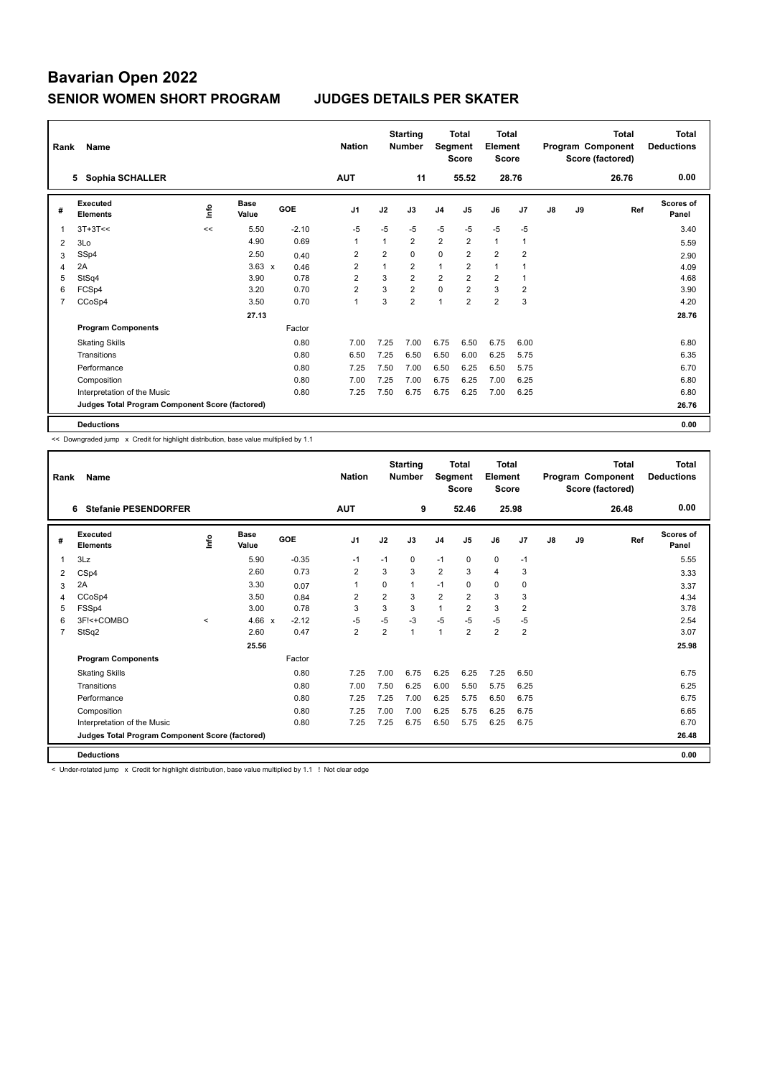| Rank           | Name                                            |    |                      |         | <b>Nation</b>  |                | <b>Starting</b><br><b>Number</b> | Segment        | <b>Total</b><br><b>Score</b> | <b>Total</b><br>Element<br><b>Score</b> |                |    |    | <b>Total</b><br>Program Component<br>Score (factored) | <b>Total</b><br><b>Deductions</b> |
|----------------|-------------------------------------------------|----|----------------------|---------|----------------|----------------|----------------------------------|----------------|------------------------------|-----------------------------------------|----------------|----|----|-------------------------------------------------------|-----------------------------------|
|                | Sophia SCHALLER<br>5.                           |    |                      |         | <b>AUT</b>     |                | 11                               |                | 55.52                        |                                         | 28.76          |    |    | 26.76                                                 | 0.00                              |
| #              | <b>Executed</b><br><b>Elements</b>              | ۴ů | <b>Base</b><br>Value | GOE     | J <sub>1</sub> | J2             | J3                               | J4             | J <sub>5</sub>               | J6                                      | J <sub>7</sub> | J8 | J9 | Ref                                                   | Scores of<br>Panel                |
| 1              | $3T+3T<<$                                       | << | 5.50                 | $-2.10$ | $-5$           | $-5$           | $-5$                             | $-5$           | $-5$                         | $-5$                                    | $-5$           |    |    |                                                       | 3.40                              |
| $\overline{2}$ | 3Lo                                             |    | 4.90                 | 0.69    | $\overline{1}$ | $\mathbf{1}$   | 2                                | $\overline{2}$ | $\overline{2}$               | $\mathbf{1}$                            | 1              |    |    |                                                       | 5.59                              |
| 3              | SSp4                                            |    | 2.50                 | 0.40    | $\overline{2}$ | $\overline{2}$ | $\Omega$                         | $\mathbf 0$    | $\overline{2}$               | $\overline{2}$                          | $\overline{2}$ |    |    |                                                       | 2.90                              |
| 4              | 2A                                              |    | $3.63 \times$        | 0.46    | $\overline{2}$ | 1              | $\overline{2}$                   | 1              | $\overline{2}$               | $\mathbf{1}$                            |                |    |    |                                                       | 4.09                              |
| 5              | StSq4                                           |    | 3.90                 | 0.78    | $\overline{2}$ | 3              | $\overline{2}$                   | $\overline{2}$ | $\overline{2}$               | $\overline{2}$                          | -1             |    |    |                                                       | 4.68                              |
| 6              | FCSp4                                           |    | 3.20                 | 0.70    | $\overline{2}$ | 3              | $\overline{2}$                   | $\mathbf 0$    | $\overline{2}$               | 3                                       | $\overline{2}$ |    |    |                                                       | 3.90                              |
| 7              | CCoSp4                                          |    | 3.50                 | 0.70    | $\overline{1}$ | 3              | $\overline{2}$                   | $\overline{1}$ | $\overline{2}$               | $\overline{2}$                          | 3              |    |    |                                                       | 4.20                              |
|                |                                                 |    | 27.13                |         |                |                |                                  |                |                              |                                         |                |    |    |                                                       | 28.76                             |
|                | <b>Program Components</b>                       |    |                      | Factor  |                |                |                                  |                |                              |                                         |                |    |    |                                                       |                                   |
|                | <b>Skating Skills</b>                           |    |                      | 0.80    | 7.00           | 7.25           | 7.00                             | 6.75           | 6.50                         | 6.75                                    | 6.00           |    |    |                                                       | 6.80                              |
|                | Transitions                                     |    |                      | 0.80    | 6.50           | 7.25           | 6.50                             | 6.50           | 6.00                         | 6.25                                    | 5.75           |    |    |                                                       | 6.35                              |
|                | Performance                                     |    |                      | 0.80    | 7.25           | 7.50           | 7.00                             | 6.50           | 6.25                         | 6.50                                    | 5.75           |    |    |                                                       | 6.70                              |
|                | Composition                                     |    |                      | 0.80    | 7.00           | 7.25           | 7.00                             | 6.75           | 6.25                         | 7.00                                    | 6.25           |    |    |                                                       | 6.80                              |
|                | Interpretation of the Music                     |    |                      | 0.80    | 7.25           | 7.50           | 6.75                             | 6.75           | 6.25                         | 7.00                                    | 6.25           |    |    |                                                       | 6.80                              |
|                | Judges Total Program Component Score (factored) |    |                      |         |                |                |                                  |                |                              |                                         |                |    |    |                                                       | 26.76                             |
|                | <b>Deductions</b>                               |    |                      |         |                |                |                                  |                |                              |                                         |                |    |    |                                                       | 0.00                              |

<< Downgraded jump x Credit for highlight distribution, base value multiplied by 1.1

| Rank           | Name                                            |         |                      |         | <b>Nation</b>  |                | <b>Starting</b><br><b>Number</b> | <b>Segment</b> | <b>Total</b><br><b>Score</b> | <b>Total</b><br>Element<br>Score |                |    |    | Total<br>Program Component<br>Score (factored) | <b>Total</b><br><b>Deductions</b> |
|----------------|-------------------------------------------------|---------|----------------------|---------|----------------|----------------|----------------------------------|----------------|------------------------------|----------------------------------|----------------|----|----|------------------------------------------------|-----------------------------------|
|                | <b>Stefanie PESENDORFER</b><br>6                |         |                      |         | <b>AUT</b>     |                | 9                                |                | 52.46                        | 25.98                            |                |    |    | 26.48                                          | 0.00                              |
| #              | Executed<br><b>Elements</b>                     | ١nf٥    | <b>Base</b><br>Value | GOE     | J <sub>1</sub> | J2             | J3                               | J <sub>4</sub> | J5                           | J6                               | J7             | J8 | J9 | Ref                                            | <b>Scores of</b><br>Panel         |
| 1              | 3Lz                                             |         | 5.90                 | $-0.35$ | $-1$           | $-1$           | 0                                | $-1$           | 0                            | $\mathbf 0$                      | $-1$           |    |    |                                                | 5.55                              |
| 2              | CSp4                                            |         | 2.60                 | 0.73    | $\overline{2}$ | 3              | 3                                | $\overline{2}$ | 3                            | $\overline{4}$                   | 3              |    |    |                                                | 3.33                              |
| 3              | 2A                                              |         | 3.30                 | 0.07    | 1              | $\Omega$       | $\mathbf{1}$                     | $-1$           | $\Omega$                     | 0                                | $\mathbf 0$    |    |    |                                                | 3.37                              |
| $\overline{4}$ | CCoSp4                                          |         | 3.50                 | 0.84    | $\overline{2}$ | $\overline{2}$ | 3                                | $\overline{2}$ | $\overline{2}$               | 3                                | 3              |    |    |                                                | 4.34                              |
| 5              | FSSp4                                           |         | 3.00                 | 0.78    | 3              | 3              | 3                                | $\overline{1}$ | $\overline{2}$               | 3                                | $\overline{2}$ |    |    |                                                | 3.78                              |
| 6              | 3F!<+COMBO                                      | $\prec$ | 4.66<br>$\mathbf{x}$ | $-2.12$ | $-5$           | $-5$           | $-3$                             | $-5$           | $-5$                         | $-5$                             | $-5$           |    |    |                                                | 2.54                              |
| $\overline{7}$ | StSq2                                           |         | 2.60                 | 0.47    | 2              | $\overline{2}$ | 1                                | $\mathbf{1}$   | $\overline{2}$               | $\overline{2}$                   | $\overline{2}$ |    |    |                                                | 3.07                              |
|                |                                                 |         | 25.56                |         |                |                |                                  |                |                              |                                  |                |    |    |                                                | 25.98                             |
|                | <b>Program Components</b>                       |         |                      | Factor  |                |                |                                  |                |                              |                                  |                |    |    |                                                |                                   |
|                | <b>Skating Skills</b>                           |         |                      | 0.80    | 7.25           | 7.00           | 6.75                             | 6.25           | 6.25                         | 7.25                             | 6.50           |    |    |                                                | 6.75                              |
|                | Transitions                                     |         |                      | 0.80    | 7.00           | 7.50           | 6.25                             | 6.00           | 5.50                         | 5.75                             | 6.25           |    |    |                                                | 6.25                              |
|                | Performance                                     |         |                      | 0.80    | 7.25           | 7.25           | 7.00                             | 6.25           | 5.75                         | 6.50                             | 6.75           |    |    |                                                | 6.75                              |
|                | Composition                                     |         |                      | 0.80    | 7.25           | 7.00           | 7.00                             | 6.25           | 5.75                         | 6.25                             | 6.75           |    |    |                                                | 6.65                              |
|                | Interpretation of the Music                     |         |                      | 0.80    | 7.25           | 7.25           | 6.75                             | 6.50           | 5.75                         | 6.25                             | 6.75           |    |    |                                                | 6.70                              |
|                | Judges Total Program Component Score (factored) |         |                      |         |                |                |                                  |                |                              |                                  |                |    |    |                                                | 26.48                             |
|                | <b>Deductions</b>                               |         |                      |         |                |                |                                  |                |                              |                                  |                |    |    |                                                | 0.00                              |
|                |                                                 |         |                      |         |                |                |                                  |                |                              |                                  |                |    |    |                                                |                                   |

< Under-rotated jump x Credit for highlight distribution, base value multiplied by 1.1 ! Not clear edge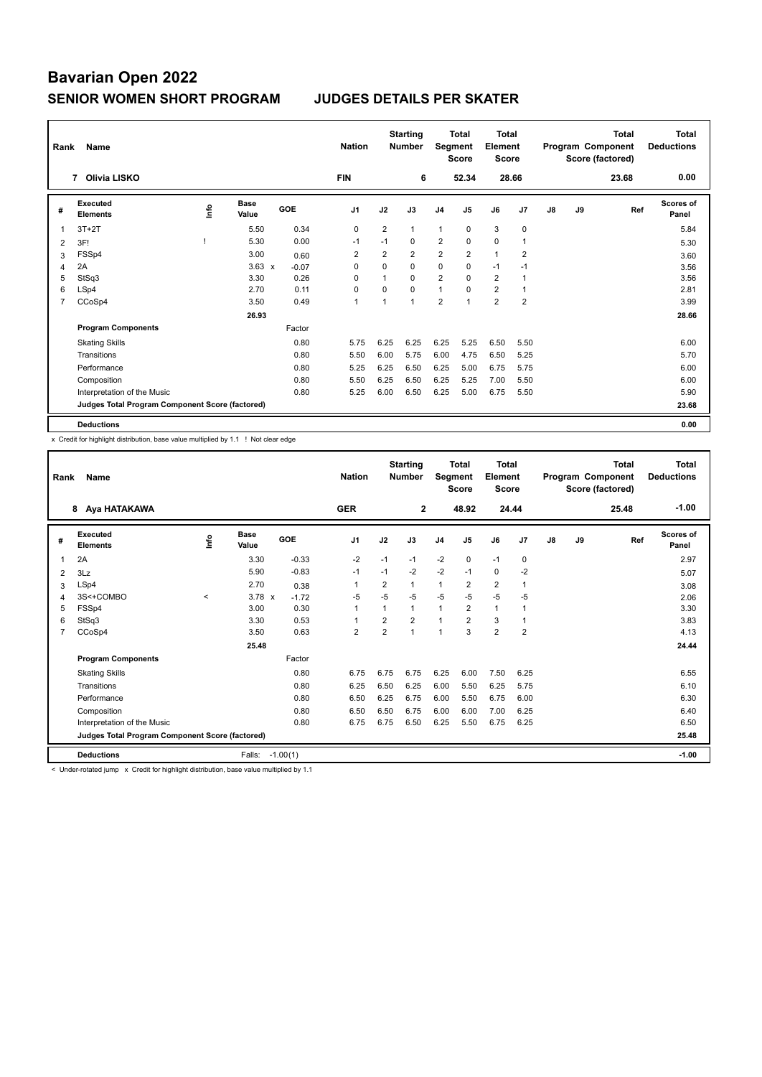| Rank           | Name                                            | <b>Nation</b> |                      | <b>Starting</b><br><b>Number</b> |                | <b>Total</b><br>Segment<br><b>Score</b> | <b>Total</b><br>Element<br><b>Score</b> |                |                |                | <b>Total</b><br>Program Component<br>Score (factored) | <b>Total</b><br><b>Deductions</b> |    |       |                           |
|----------------|-------------------------------------------------|---------------|----------------------|----------------------------------|----------------|-----------------------------------------|-----------------------------------------|----------------|----------------|----------------|-------------------------------------------------------|-----------------------------------|----|-------|---------------------------|
|                | Olivia LISKO<br>7                               |               |                      |                                  | <b>FIN</b>     |                                         | 6                                       |                | 52.34          |                | 28.66                                                 |                                   |    | 23.68 | 0.00                      |
| #              | Executed<br><b>Elements</b>                     | ۴             | <b>Base</b><br>Value | GOE                              | J <sub>1</sub> | J2                                      | J3                                      | J <sub>4</sub> | J <sub>5</sub> | J6             | J7                                                    | $\mathsf{J}8$                     | J9 | Ref   | <b>Scores of</b><br>Panel |
| 1              | $3T+2T$                                         |               | 5.50                 | 0.34                             | $\mathbf 0$    | $\overline{2}$                          | $\mathbf{1}$                            | $\mathbf{1}$   | $\mathbf 0$    | 3              | $\mathbf 0$                                           |                                   |    |       | 5.84                      |
| $\overline{2}$ | 3F!                                             |               | 5.30                 | 0.00                             | $-1$           | $-1$                                    | 0                                       | $\overline{2}$ | 0              | 0              | 1                                                     |                                   |    |       | 5.30                      |
| 3              | FSSp4                                           |               | 3.00                 | 0.60                             | 2              | 2                                       | $\overline{2}$                          | $\overline{2}$ | $\overline{2}$ | $\mathbf{1}$   | $\overline{2}$                                        |                                   |    |       | 3.60                      |
| 4              | 2A                                              |               | $3.63 \times$        | $-0.07$                          | 0              | 0                                       | $\mathbf 0$                             | $\mathbf 0$    | 0              | $-1$           | $-1$                                                  |                                   |    |       | 3.56                      |
| 5              | StSq3                                           |               | 3.30                 | 0.26                             | $\Omega$       | $\overline{1}$                          | $\Omega$                                | $\overline{2}$ | $\Omega$       | $\overline{2}$ | 1                                                     |                                   |    |       | 3.56                      |
| 6              | LSp4                                            |               | 2.70                 | 0.11                             | $\Omega$       | 0                                       | $\Omega$                                | $\mathbf{1}$   | $\Omega$       | $\overline{2}$ | $\overline{1}$                                        |                                   |    |       | 2.81                      |
| $\overline{7}$ | CCoSp4                                          |               | 3.50                 | 0.49                             | 1              | 1                                       | $\mathbf{1}$                            | $\overline{2}$ | 1              | $\overline{2}$ | $\overline{2}$                                        |                                   |    |       | 3.99                      |
|                |                                                 |               | 26.93                |                                  |                |                                         |                                         |                |                |                |                                                       |                                   |    |       | 28.66                     |
|                | <b>Program Components</b>                       |               |                      | Factor                           |                |                                         |                                         |                |                |                |                                                       |                                   |    |       |                           |
|                | <b>Skating Skills</b>                           |               |                      | 0.80                             | 5.75           | 6.25                                    | 6.25                                    | 6.25           | 5.25           | 6.50           | 5.50                                                  |                                   |    |       | 6.00                      |
|                | Transitions                                     |               |                      | 0.80                             | 5.50           | 6.00                                    | 5.75                                    | 6.00           | 4.75           | 6.50           | 5.25                                                  |                                   |    |       | 5.70                      |
|                | Performance                                     |               |                      | 0.80                             | 5.25           | 6.25                                    | 6.50                                    | 6.25           | 5.00           | 6.75           | 5.75                                                  |                                   |    |       | 6.00                      |
|                | Composition                                     |               |                      | 0.80                             | 5.50           | 6.25                                    | 6.50                                    | 6.25           | 5.25           | 7.00           | 5.50                                                  |                                   |    |       | 6.00                      |
|                | Interpretation of the Music                     |               |                      | 0.80                             | 5.25           | 6.00                                    | 6.50                                    | 6.25           | 5.00           | 6.75           | 5.50                                                  |                                   |    |       | 5.90                      |
|                | Judges Total Program Component Score (factored) |               |                      |                                  |                |                                         |                                         |                |                |                |                                                       |                                   |    |       | 23.68                     |
|                | <b>Deductions</b>                               |               |                      |                                  |                |                                         |                                         |                |                |                |                                                       |                                   |    |       | 0.00                      |

x Credit for highlight distribution, base value multiplied by 1.1 ! Not clear edge

| Rank           | Name                                            |         | <b>Nation</b>        |            | <b>Starting</b><br><b>Number</b> | Segment        | <b>Total</b><br><b>Score</b> | <b>Total</b><br>Element<br><b>Score</b> |                |                |                | <b>Total</b><br>Program Component<br>Score (factored) | <b>Total</b><br><b>Deductions</b> |       |                           |
|----------------|-------------------------------------------------|---------|----------------------|------------|----------------------------------|----------------|------------------------------|-----------------------------------------|----------------|----------------|----------------|-------------------------------------------------------|-----------------------------------|-------|---------------------------|
|                | Aya HATAKAWA<br>8                               |         |                      |            | <b>GER</b>                       |                | $\mathbf{2}$                 |                                         | 48.92          | 24.44          |                |                                                       |                                   | 25.48 | $-1.00$                   |
| #              | Executed<br><b>Elements</b>                     | lnfo    | <b>Base</b><br>Value | GOE        | J <sub>1</sub>                   | J2             | J3                           | J <sub>4</sub>                          | J5             | J6             | J7             | J8                                                    | J9                                | Ref   | <b>Scores of</b><br>Panel |
| 1              | 2A                                              |         | 3.30                 | $-0.33$    | $-2$                             | $-1$           | $-1$                         | $-2$                                    | 0              | $-1$           | 0              |                                                       |                                   |       | 2.97                      |
| 2              | 3Lz                                             |         | 5.90                 | $-0.83$    | $-1$                             | $-1$           | $-2$                         | $-2$                                    | $-1$           | $\mathbf 0$    | $-2$           |                                                       |                                   |       | 5.07                      |
| 3              | LSp4                                            |         | 2.70                 | 0.38       | 1                                | 2              |                              | 1                                       | 2              | 2              | $\mathbf{1}$   |                                                       |                                   |       | 3.08                      |
| 4              | 3S<+COMBO                                       | $\prec$ | $3.78 \times$        | $-1.72$    | $-5$                             | $-5$           | $-5$                         | $-5$                                    | $-5$           | $-5$           | $-5$           |                                                       |                                   |       | 2.06                      |
| 5              | FSSp4                                           |         | 3.00                 | 0.30       | 1                                | $\mathbf{1}$   | 1                            | $\mathbf{1}$                            | $\overline{2}$ | $\mathbf{1}$   | $\mathbf{1}$   |                                                       |                                   |       | 3.30                      |
| 6              | StSq3                                           |         | 3.30                 | 0.53       |                                  | $\overline{2}$ | $\overline{2}$               | $\overline{1}$                          | $\overline{2}$ | 3              | $\mathbf{1}$   |                                                       |                                   |       | 3.83                      |
| $\overline{7}$ | CCoSp4                                          |         | 3.50                 | 0.63       | $\overline{2}$                   | $\overline{2}$ | $\overline{1}$               | $\overline{1}$                          | 3              | $\overline{2}$ | $\overline{2}$ |                                                       |                                   |       | 4.13                      |
|                |                                                 |         | 25.48                |            |                                  |                |                              |                                         |                |                |                |                                                       |                                   |       | 24.44                     |
|                | <b>Program Components</b>                       |         |                      | Factor     |                                  |                |                              |                                         |                |                |                |                                                       |                                   |       |                           |
|                | <b>Skating Skills</b>                           |         |                      | 0.80       | 6.75                             | 6.75           | 6.75                         | 6.25                                    | 6.00           | 7.50           | 6.25           |                                                       |                                   |       | 6.55                      |
|                | Transitions                                     |         |                      | 0.80       | 6.25                             | 6.50           | 6.25                         | 6.00                                    | 5.50           | 6.25           | 5.75           |                                                       |                                   |       | 6.10                      |
|                | Performance                                     |         |                      | 0.80       | 6.50                             | 6.25           | 6.75                         | 6.00                                    | 5.50           | 6.75           | 6.00           |                                                       |                                   |       | 6.30                      |
|                | Composition                                     |         |                      | 0.80       | 6.50                             | 6.50           | 6.75                         | 6.00                                    | 6.00           | 7.00           | 6.25           |                                                       |                                   |       | 6.40                      |
|                | Interpretation of the Music                     |         |                      | 0.80       | 6.75                             | 6.75           | 6.50                         | 6.25                                    | 5.50           | 6.75           | 6.25           |                                                       |                                   |       | 6.50                      |
|                | Judges Total Program Component Score (factored) |         |                      |            |                                  |                |                              |                                         |                |                |                |                                                       |                                   |       | 25.48                     |
|                | <b>Deductions</b>                               |         | Falls:               | $-1.00(1)$ |                                  |                |                              |                                         |                |                |                |                                                       |                                   |       | $-1.00$                   |

< Under-rotated jump x Credit for highlight distribution, base value multiplied by 1.1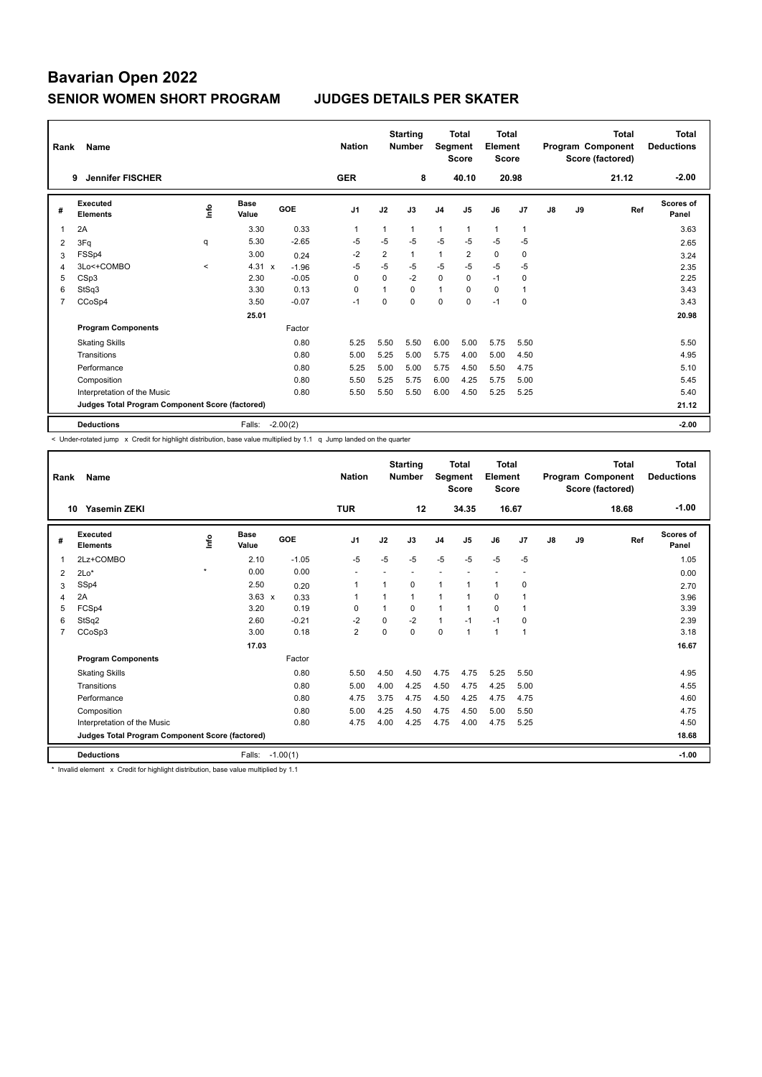| Rank | Name                                            |              |                      |            | <b>Nation</b>  |                | <b>Starting</b><br><b>Number</b> | Segment        | <b>Total</b><br><b>Score</b> | <b>Total</b><br>Element<br><b>Score</b> |                |               |    | <b>Total</b><br>Program Component<br>Score (factored) | <b>Total</b><br><b>Deductions</b> |
|------|-------------------------------------------------|--------------|----------------------|------------|----------------|----------------|----------------------------------|----------------|------------------------------|-----------------------------------------|----------------|---------------|----|-------------------------------------------------------|-----------------------------------|
|      | <b>Jennifer FISCHER</b><br>9                    |              |                      |            | <b>GER</b>     |                | 8                                |                | 40.10                        | 20.98                                   |                |               |    | 21.12                                                 | $-2.00$                           |
| #    | <b>Executed</b><br><b>Elements</b>              | ۴٥           | <b>Base</b><br>Value | <b>GOE</b> | J <sub>1</sub> | J2             | J3                               | J <sub>4</sub> | J <sub>5</sub>               | J6                                      | J <sub>7</sub> | $\mathsf{J}8$ | J9 | Ref                                                   | Scores of<br>Panel                |
| 1    | 2A                                              |              | 3.30                 | 0.33       | 1              |                | 1                                | $\mathbf{1}$   | 1                            | $\mathbf{1}$                            | $\overline{1}$ |               |    |                                                       | 3.63                              |
| 2    | 3Fq                                             | q            | 5.30                 | $-2.65$    | $-5$           | $-5$           | $-5$                             | $-5$           | $-5$                         | $-5$                                    | $-5$           |               |    |                                                       | 2.65                              |
| 3    | FSSp4                                           |              | 3.00                 | 0.24       | $-2$           | $\overline{2}$ | $\mathbf{1}$                     | $\mathbf{1}$   | $\overline{2}$               | 0                                       | $\mathbf 0$    |               |    |                                                       | 3.24                              |
| 4    | 3Lo<+COMBO                                      | $\checkmark$ | $4.31 \times$        | $-1.96$    | $-5$           | $-5$           | $-5$                             | $-5$           | $-5$                         | $-5$                                    | $-5$           |               |    |                                                       | 2.35                              |
| 5    | CSp3                                            |              | 2.30                 | $-0.05$    | 0              | $\Omega$       | $-2$                             | $\mathbf 0$    | $\mathbf 0$                  | $-1$                                    | $\mathbf 0$    |               |    |                                                       | 2.25                              |
| 6    | StSq3                                           |              | 3.30                 | 0.13       | 0              |                | $\Omega$                         | $\mathbf{1}$   | $\mathbf 0$                  | $\mathbf 0$                             | $\overline{1}$ |               |    |                                                       | 3.43                              |
| 7    | CCoSp4                                          |              | 3.50                 | $-0.07$    | $-1$           | 0              | 0                                | $\mathbf 0$    | 0                            | $-1$                                    | $\mathbf 0$    |               |    |                                                       | 3.43                              |
|      |                                                 |              | 25.01                |            |                |                |                                  |                |                              |                                         |                |               |    |                                                       | 20.98                             |
|      | <b>Program Components</b>                       |              |                      | Factor     |                |                |                                  |                |                              |                                         |                |               |    |                                                       |                                   |
|      | <b>Skating Skills</b>                           |              |                      | 0.80       | 5.25           | 5.50           | 5.50                             | 6.00           | 5.00                         | 5.75                                    | 5.50           |               |    |                                                       | 5.50                              |
|      | Transitions                                     |              |                      | 0.80       | 5.00           | 5.25           | 5.00                             | 5.75           | 4.00                         | 5.00                                    | 4.50           |               |    |                                                       | 4.95                              |
|      | Performance                                     |              |                      | 0.80       | 5.25           | 5.00           | 5.00                             | 5.75           | 4.50                         | 5.50                                    | 4.75           |               |    |                                                       | 5.10                              |
|      | Composition                                     |              |                      | 0.80       | 5.50           | 5.25           | 5.75                             | 6.00           | 4.25                         | 5.75                                    | 5.00           |               |    |                                                       | 5.45                              |
|      | Interpretation of the Music                     |              |                      | 0.80       | 5.50           | 5.50           | 5.50                             | 6.00           | 4.50                         | 5.25                                    | 5.25           |               |    |                                                       | 5.40                              |
|      | Judges Total Program Component Score (factored) |              |                      |            |                |                |                                  |                |                              |                                         |                |               |    |                                                       | 21.12                             |
|      | <b>Deductions</b>                               |              | Falls:               | $-2.00(2)$ |                |                |                                  |                |                              |                                         |                |               |    |                                                       | $-2.00$                           |

< Under-rotated jump x Credit for highlight distribution, base value multiplied by 1.1 q Jump landed on the quarter

| Rank           | Name                                            |         |                      |            | <b>Nation</b>            |          | <b>Starting</b><br><b>Number</b> | Segment        | <b>Total</b><br><b>Score</b> | <b>Total</b><br>Element<br><b>Score</b> |                |    |    | <b>Total</b><br>Program Component<br>Score (factored) | <b>Total</b><br><b>Deductions</b> |
|----------------|-------------------------------------------------|---------|----------------------|------------|--------------------------|----------|----------------------------------|----------------|------------------------------|-----------------------------------------|----------------|----|----|-------------------------------------------------------|-----------------------------------|
|                | Yasemin ZEKI<br>10                              |         |                      |            | <b>TUR</b>               |          | 12                               |                | 34.35                        | 16.67                                   |                |    |    | 18.68                                                 | $-1.00$                           |
| #              | Executed<br><b>Elements</b>                     | ١nf٥    | <b>Base</b><br>Value | GOE        | J <sub>1</sub>           | J2       | J3                               | J <sub>4</sub> | J5                           | J6                                      | J7             | J8 | J9 | Ref                                                   | <b>Scores of</b><br>Panel         |
| 1              | 2Lz+COMBO                                       |         | 2.10                 | $-1.05$    | $-5$                     | $-5$     | $-5$                             | $-5$           | $-5$                         | $-5$                                    | $-5$           |    |    |                                                       | 1.05                              |
| 2              | $2Lo*$                                          | $\star$ | 0.00                 | 0.00       | $\overline{\phantom{a}}$ |          | $\overline{a}$                   | ۰              |                              | $\overline{a}$                          | ٠              |    |    |                                                       | 0.00                              |
| 3              | SSp4                                            |         | 2.50                 | 0.20       | 1                        |          | 0                                | 1              |                              | $\mathbf{1}$                            | 0              |    |    |                                                       | 2.70                              |
| $\overline{4}$ | 2A                                              |         | $3.63 \times$        | 0.33       | 1                        |          | $\mathbf{1}$                     | 1              |                              | 0                                       |                |    |    |                                                       | 3.96                              |
| 5              | FCSp4                                           |         | 3.20                 | 0.19       | $\Omega$                 |          | $\Omega$                         | 1              |                              | $\Omega$                                | $\overline{1}$ |    |    |                                                       | 3.39                              |
| 6              | StSq2                                           |         | 2.60                 | $-0.21$    | $-2$                     | $\Omega$ | $-2$                             | $\mathbf{1}$   | $-1$                         | $-1$                                    | $\mathbf 0$    |    |    |                                                       | 2.39                              |
| $\overline{7}$ | CCoSp3                                          |         | 3.00                 | 0.18       | $\overline{2}$           | $\Omega$ | $\Omega$                         | $\mathbf 0$    | $\mathbf{1}$                 | $\mathbf{1}$                            | $\overline{1}$ |    |    |                                                       | 3.18                              |
|                |                                                 |         | 17.03                |            |                          |          |                                  |                |                              |                                         |                |    |    |                                                       | 16.67                             |
|                | <b>Program Components</b>                       |         |                      | Factor     |                          |          |                                  |                |                              |                                         |                |    |    |                                                       |                                   |
|                | <b>Skating Skills</b>                           |         |                      | 0.80       | 5.50                     | 4.50     | 4.50                             | 4.75           | 4.75                         | 5.25                                    | 5.50           |    |    |                                                       | 4.95                              |
|                | Transitions                                     |         |                      | 0.80       | 5.00                     | 4.00     | 4.25                             | 4.50           | 4.75                         | 4.25                                    | 5.00           |    |    |                                                       | 4.55                              |
|                | Performance                                     |         |                      | 0.80       | 4.75                     | 3.75     | 4.75                             | 4.50           | 4.25                         | 4.75                                    | 4.75           |    |    |                                                       | 4.60                              |
|                | Composition                                     |         |                      | 0.80       | 5.00                     | 4.25     | 4.50                             | 4.75           | 4.50                         | 5.00                                    | 5.50           |    |    |                                                       | 4.75                              |
|                | Interpretation of the Music                     |         |                      | 0.80       | 4.75                     | 4.00     | 4.25                             | 4.75           | 4.00                         | 4.75                                    | 5.25           |    |    |                                                       | 4.50                              |
|                | Judges Total Program Component Score (factored) |         |                      |            |                          |          |                                  |                |                              |                                         |                |    |    |                                                       | 18.68                             |
|                | <b>Deductions</b>                               |         | Falls:               | $-1.00(1)$ |                          |          |                                  |                |                              |                                         |                |    |    |                                                       | $-1.00$                           |

\* Invalid element x Credit for highlight distribution, base value multiplied by 1.1